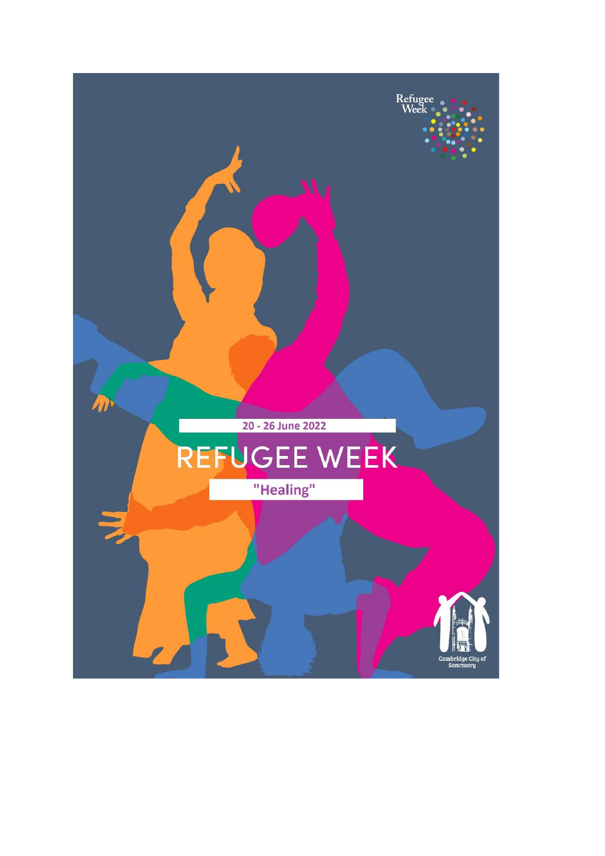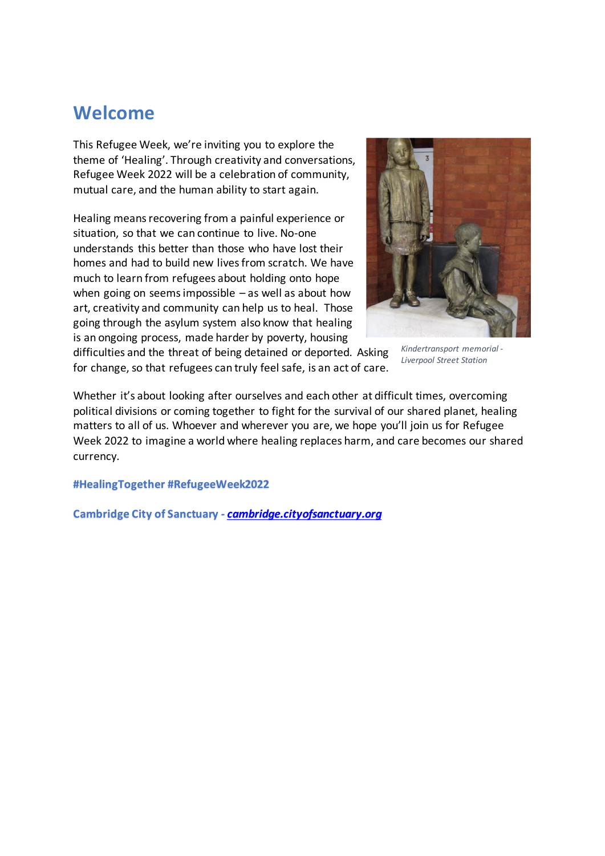# **Welcome**

This Refugee Week, we're inviting you to explore the theme of 'Healing'. Through creativity and conversations, Refugee Week 2022 will be a celebration of community, mutual care, and the human ability to start again.

Healing means recovering from a painful experience or situation, so that we can continue to live. No-one understands this better than those who have lost their homes and had to build new lives from scratch. We have much to learn from refugees about holding onto hope when going on seems impossible  $-$  as well as about how art, creativity and community can help us to heal. Those going through the asylum system also know that healing is an ongoing process, made harder by poverty, housing



*Kindertransport memorial - Liverpool Street Station*

difficulties and the threat of being detained or deported. Asking for change, so that refugees can truly feel safe, is an act of care.

Whether it's about looking after ourselves and each other at difficult times, overcoming political divisions or coming together to fight for the survival of our shared planet, healing matters to all of us. Whoever and wherever you are, we hope you'll join us for Refugee Week 2022 to imagine a world where healing replaces harm, and care becomes our shared currency.

**#HealingTogether #RefugeeWeek2022**

**Cambridge City of Sanctuary -** *[cambridge.cityofsanctuary.org](https://cambridge.cityofsanctuary.org/)*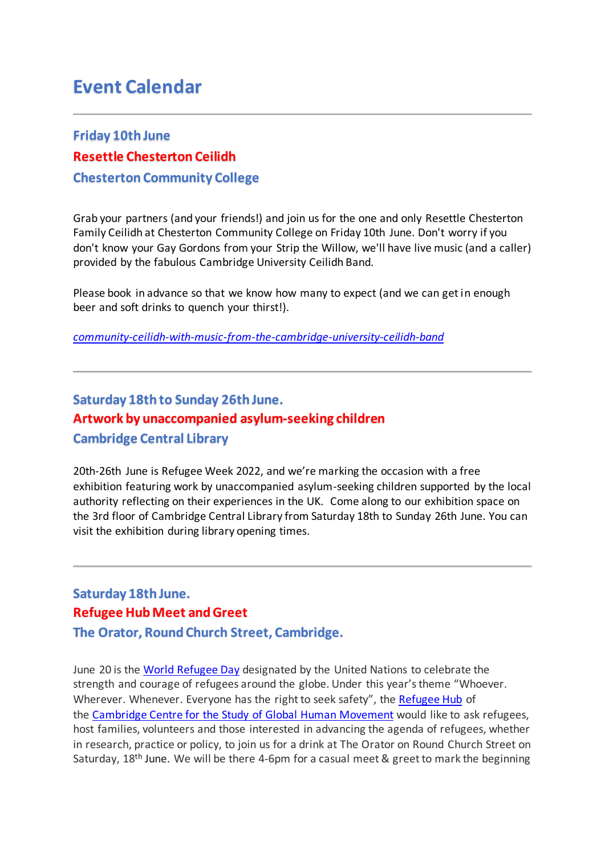# **Event Calendar**

## **Friday 10th June Resettle Chesterton Ceilidh Chesterton Community College**

Grab your partners (and your friends!) and join us for the one and only Resettle Chesterton Family Ceilidh at Chesterton Community College on Friday 10th June. Don't worry if you don't know your Gay Gordons from your Strip the Willow, we'll have live music (and a caller) provided by the fabulous Cambridge University Ceilidh Band.

Please book in advance so that we know how many to expect (and we can get in enough beer and soft drinks to quench your thirst!).

*[community-ceilidh-with-music-from-the-cambridge-university-ceilidh-band](https://www.eventbrite.co.uk/e/community-ceilidh-with-music-from-the-cambridge-university-ceilidh-band-tickets-327912504127?fbclid=IwAR2qGCpPK1pczDGB2SWdSXPhyag9oSHyvE5VM38y0fSKIA5qD_XipcdLBCI)*

## **Saturday 18th to Sunday 26th June. Artwork by unaccompanied asylum-seeking children Cambridge Central Library**

20th-26th June is Refugee Week 2022, and we're marking the occasion with a free exhibition featuring work by unaccompanied asylum-seeking children supported by the local authority reflecting on their experiences in the UK. Come along to our exhibition space on the 3rd floor of Cambridge Central Library from Saturday 18th to Sunday 26th June. You can visit the exhibition during library opening times.

### **Saturday 18th June. Refugee Hub Meet andGreet The Orator, Round Church Street, Cambridge.**

June 20 is the World [Refugee](https://eur03.safelinks.protection.outlook.com/?url=https%3A%2F%2Fwww.unhcr.org%2Fworld-refugee-day.html&data=05%7C01%7Cjsm15%40universityofcambridgecloud.onmicrosoft.com%7C7b5271cca5544e02a0a008da39c87f4a%7C49a50445bdfa4b79ade3547b4f3986e9%7C0%7C0%7C637885831460476053%7CUnknown%7CTWFpbGZsb3d8eyJWIjoiMC4wLjAwMDAiLCJQIjoiV2luMzIiLCJBTiI6Ik1haWwiLCJXVCI6Mn0%3D%7C3000%7C%7C%7C&sdata=ZGJ5NQcvVC0aN31e7h47j6kAy4rY9VsWMfbvvzVL2Vc%3D&reserved=0) Day designated by the United Nations to celebrate the strength and courage of refugees around the globe. Under this year's theme "Whoever. Wherever. Whenever. Everyone has the right to seek safety", the [Refugee](https://www.humanmovement.cam.ac.uk/refugee-hub) Hub of the [Cambridge](http://humanmovement.cam.ac.uk/) Centre for the Study of Global Human [Movement](https://www.humanmovement.cam.ac.uk/) would like to ask refugees, host families, volunteers and those interested in advancing the agenda of refugees, whether in research, practice or policy, to join us for a drink at The Orator on Round Church Street on Saturday, 18<sup>th</sup> June. We will be there 4-6pm for a casual meet & greet to mark the beginning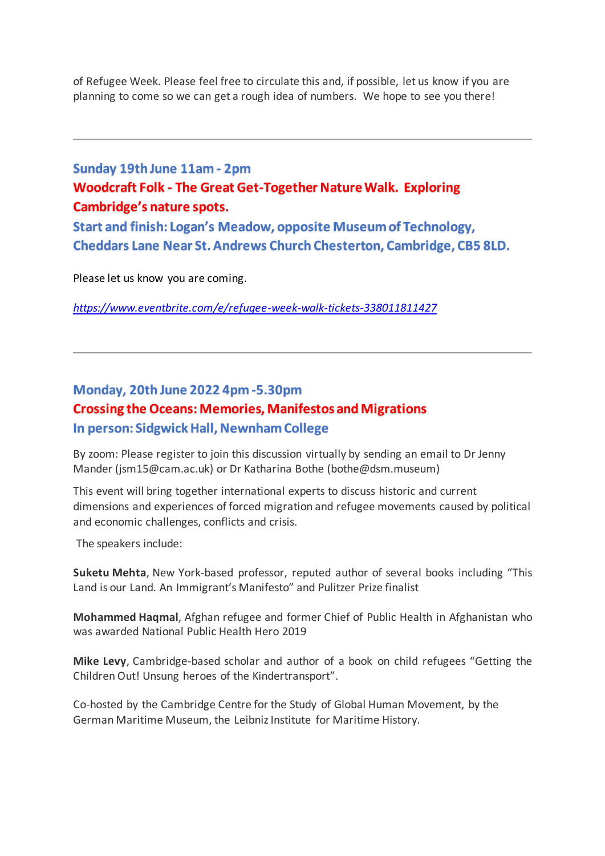of Refugee Week. Please feel free to circulate this and, if possible, let us know if you are planning to come so we can get a rough idea of numbers. We hope to see you there!

## **Sunday 19th June 11am - 2pm Woodcraft Folk - The Great Get-Together Nature Walk. Exploring Cambridge's nature spots.**

**Start and finish: Logan's Meadow, opposite Museum of Technology, Cheddars Lane Near St. Andrews Church Chesterton, Cambridge, CB5 8LD.**

Please let us know you are coming.

*<https://www.eventbrite.com/e/refugee-week-walk-tickets-338011811427>*

#### **Monday, 20th June 2022 4pm -5.30pm Crossing the Oceans: Memories, Manifestos and Migrations In person: Sidgwick Hall, Newnham College**

By zoom: Please register to join this discussion virtually by sending an email to Dr Jenny Mander [\(jsm15@cam.ac.uk\)](mailto:jsm15@cam.ac.uk) or Dr Katharina Bothe [\(bothe@dsm.museum\)](mailto:bothe@dsm.museum)

This event will bring together international experts to discuss historic and current dimensions and experiences of forced migration and refugee movements caused by political and economic challenges, conflicts and crisis.

The speakers include:

**Suketu Mehta**, New York-based professor, reputed author of several books including "This Land is our Land. An Immigrant's Manifesto" and Pulitzer Prize finalist

**Mohammed Haqmal**, Afghan refugee and former Chief of Public Health in Afghanistan who was awarded National Public Health Hero 2019

**Mike Levy**, Cambridge-based scholar and author of a book on child refugees "Getting the Children Out! Unsung heroes of the Kindertransport".

Co-hosted by the [Cambridge](http://humanmovement.cam.ac.uk/) Centre for the Study of Global Human [Movement,](https://www.humanmovement.cam.ac.uk/) by the German Maritime Museum, the Leibniz Institute for Maritime History.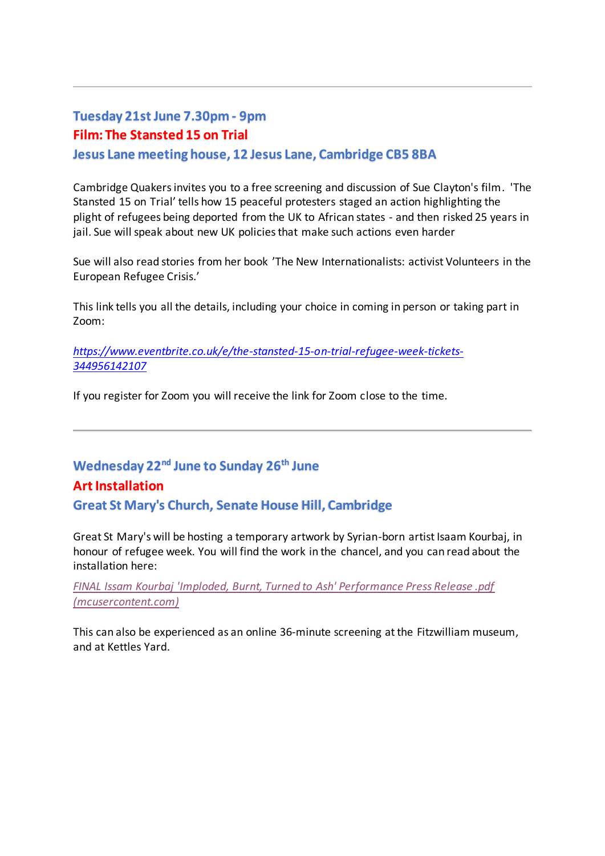#### **Tuesday 21st June 7.30pm - 9pm Film: The Stansted 15 on Trial Jesus Lane meeting house, 12 Jesus Lane, Cambridge CB5 8BA**

Cambridge Quakers invites you to a free screening and discussion of Sue Clayton's film. 'The Stansted 15 on Trial' tells how 15 peaceful protesters staged an action highlighting the plight of refugees being deported from the UK to African states - and then risked 25 years in jail. Sue will speak about new UK policies that make such actions even harder

Sue will also read stories from her book 'The New Internationalists: activist Volunteers in the European Refugee Crisis.'

This link tells you all the details, including your choice in coming in person or taking part in Zoom:

*[https://www.eventbrite.co.uk/e/the-stansted-15-on-trial-refugee-week-tickets-](https://www.eventbrite.co.uk/e/the-stansted-15-on-trial-refugee-week-tickets-344956142107)[344956142107](https://www.eventbrite.co.uk/e/the-stansted-15-on-trial-refugee-week-tickets-344956142107)*

If you register for Zoom you will receive the link for Zoom close to the time.

# **Wednesday 22nd June to Sunday 26th June Art Installation Great St Mary's Church, Senate House Hill, Cambridge**

Great St Mary's will be hosting a temporary artwork by Syrian-born artist Isaam Kourbaj, in honour of refugee week. You will find the work in the chancel, and you can read about the installation here:

*[FINAL Issam Kourbaj 'Imploded, Burnt, Turned to Ash' Performance Press Release .pdf](https://mcusercontent.com/1462da4a8df9826ce51dea6e9/files/8fb56e64-60fe-2534-fdb6-a8bb8f4fad1b/FINAL_Issam_Kourbaj_Imploded_Burnt_Turned_to_Ash_Performance_Press_Release_.pdf)  [\(mcusercontent.com\)](https://mcusercontent.com/1462da4a8df9826ce51dea6e9/files/8fb56e64-60fe-2534-fdb6-a8bb8f4fad1b/FINAL_Issam_Kourbaj_Imploded_Burnt_Turned_to_Ash_Performance_Press_Release_.pdf)*

This can also be experienced as an online 36-minute screening at the Fitzwilliam museum, and at Kettles Yard.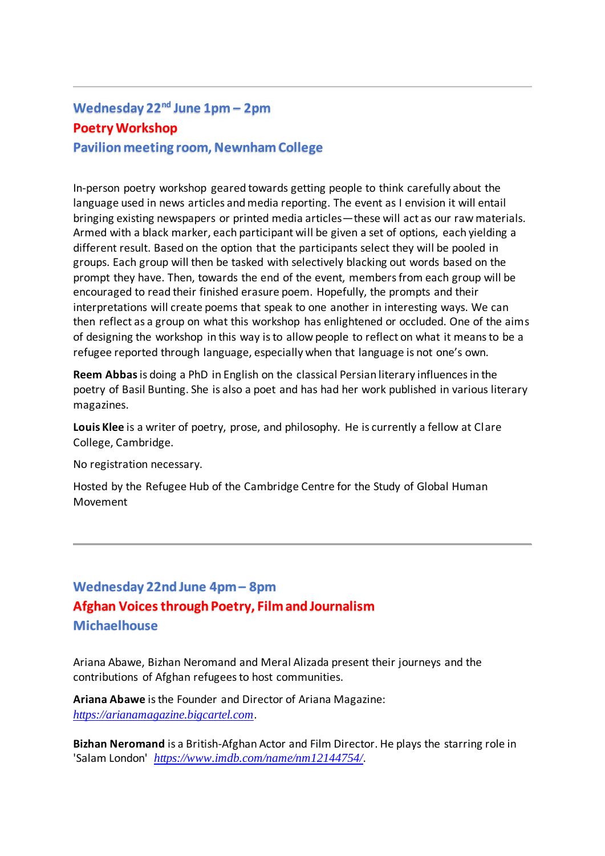# **Wednesday 22nd June 1pm – 2pm Poetry Workshop Pavilion meeting room, Newnham College**

In-person poetry workshop geared towards getting people to think carefully about the language used in news articles and media reporting. The event as I envision it will entail bringing existing newspapers or printed media articles—these will act as our raw materials. Armed with a black marker, each participant will be given a set of options, each yielding a different result. Based on the option that the participants select they will be pooled in groups. Each group will then be tasked with selectively blacking out words based on the prompt they have. Then, towards the end of the event, members from each group will be encouraged to read their finished erasure poem. Hopefully, the prompts and their interpretations will create poems that speak to one another in interesting ways. We can then reflect as a group on what this workshop has enlightened or occluded. One of the aims of designing the workshop in this way is to allow people to reflect on what it means to be a refugee reported through language, especially when that language is not one's own.

**Reem Abbas**is doing a PhD in English on the classical Persian literary influences in the poetry of Basil Bunting. She is also a poet and has had her work published in various literary magazines.

**Louis Klee** is a writer of poetry, prose, and philosophy. He is currently a fellow at Clare College, Cambridge.

No registration necessary.

Hosted by the [Refugee Hub](https://www.humanmovement.cam.ac.uk/refugee-hub) of the [Cambridge](http://humanmovement.cam.ac.uk/) [Centre for the Study of Global Human](https://www.humanmovement.cam.ac.uk/)  [Movement](https://www.humanmovement.cam.ac.uk/)

### **Wednesday 22nd June 4pm – 8pm Afghan Voices through Poetry, Film and Journalism Michaelhouse**

Ariana Abawe, Bizhan Neromand and Meral Alizada present their journeys and the contributions of Afghan refugees to host communities.

**Ariana Abawe** is the Founder and Director of Ariana Magazine: *[https://arianamagazine.bigcartel.com](https://arianamagazine.bigcartel.com/)*.

**Bizhan Neromand** is a British-Afghan Actor and Film Director. He plays the starring role in 'Salam London' *[https://www.imdb.com/name/nm12144754/](https://eur03.safelinks.protection.outlook.com/?url=https%3A%2F%2Fwww.imdb.com%2Fname%2Fnm12144754%2F&data=05%7C01%7Ctb317%40cam.ac.uk%7C9c536dfe88a64b1ad19008da4897028a%7C49a50445bdfa4b79ade3547b4f3986e9%7C0%7C0%7C637902110655495925%7CUnknown%7CTWFpbGZsb3d8eyJWIjoiMC4wLjAwMDAiLCJQIjoiV2luMzIiLCJBTiI6Ik1haWwiLCJXVCI6Mn0%3D%7C3000%7C%7C%7C&sdata=2KnbS8nIh%2FudOF8plGlaoyHpHI2VKHaqg9nqPveNYd4%3D&reserved=0)*.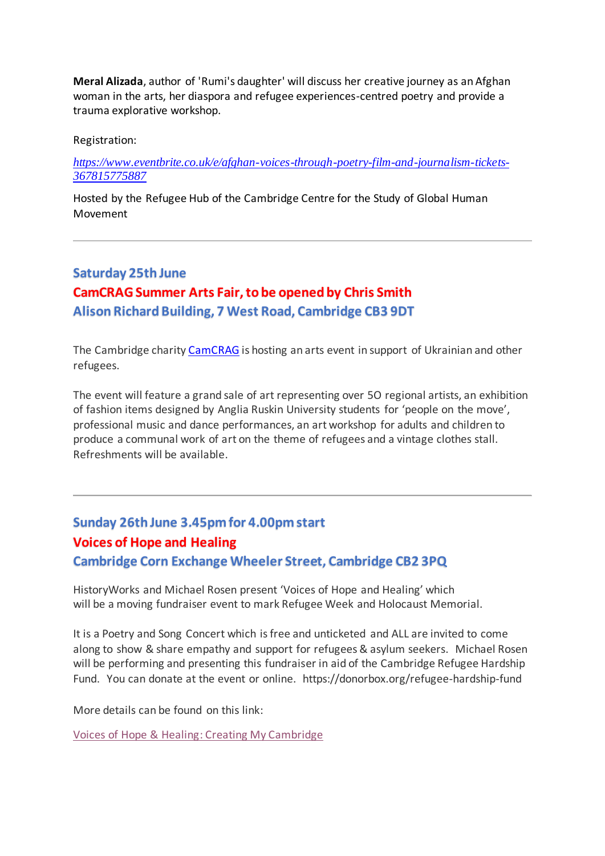**Meral Alizada**, author of ['Rumi's daughter'](https://www.goodreads.com/en/book/show/57071760-rumi-s-daughter) will discuss her creative journey as an Afghan woman in the arts, her diaspora and refugee experiences-centred poetry and provide a trauma explorative workshop.

Registration:

*[https://www.eventbrite.co.uk/e/afghan-voices-through-poetry-film-and-journalism-tickets-](https://www.eventbrite.co.uk/e/afghan-voices-through-poetry-film-and-journalism-tickets-367815775887)[367815775887](https://www.eventbrite.co.uk/e/afghan-voices-through-poetry-film-and-journalism-tickets-367815775887)*

Hosted by the [Refugee Hub](https://www.humanmovement.cam.ac.uk/refugee-hub) of the [Cambridge](http://humanmovement.cam.ac.uk/) [Centre for the Study of Global Human](https://www.humanmovement.cam.ac.uk/)  [Movement](https://www.humanmovement.cam.ac.uk/)

#### **Saturday 25th June CamCRAG Summer Arts Fair, to be opened by Chris Smith Alison Richard Building, 7 West Road, Cambridge CB3 9DT**

The Cambridge charity [CamCRAG](https://camcrag.org.uk/) is hosting an arts event in support of Ukrainian and other refugees.

The event will feature a grand sale of art representing over 5O regional artists, an exhibition of fashion items designed by Anglia Ruskin University students for 'people on the move', professional music and dance performances, an art workshop for adults and children to produce a communal work of art on the theme of refugees and a vintage clothes stall. Refreshments will be available.

# **Sunday 26th June 3.45pm for 4.00pm start Voices of Hope and Healing**

**Cambridge Corn Exchange Wheeler Street, Cambridge CB2 3PQ**

HistoryWorks and Michael Rosen present 'Voices of Hope and Healing' which will be a moving fundraiser event to mark Refugee Week and Holocaust Memorial.

It is a Poetry and Song Concert which is free and unticketed and ALL are invited to come along to show & share empathy and support for refugees & asylum seekers. Michael Rosen will be performing and presenting this fundraiser in aid of the Cambridge Refugee Hardship Fund. You can donate at the event or online. https://donorbox.org/refugee-hardship-fund

More details can be found on this link:

[Voices of Hope & Healing:](http://www.creatingmycambridge.com/events/2022/06/15/voices-of-hope-healing/) Creating My Cambridge